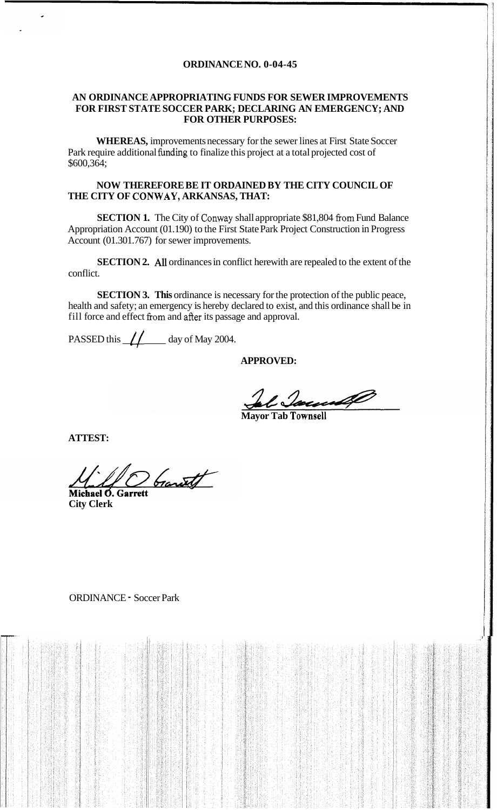#### **ORDINANCE NO. 0-04-45**

#### **AN ORDINANCE APPROPRIATING FUNDS FOR SEWER IMPROVEMENTS FOR FIRST STATE SOCCER PARK; DECLARING AN EMERGENCY; AND FOR OTHER PURPOSES:**

**WHEREAS,** improvements necessary for the sewer lines at First State Soccer Park require additional funding to finalize this project at a total projected cost of \$600,364;

## **NOW THEREFORE BE IT ORDAINED BY THE CITY COUNCIL OF THE CITY OF CONWAY, ARKANSAS, THAT:**

**SECTION 1.** The City of Conway shall appropriate \$81,804 **fiom** Fund Balance Appropriation Account (01.190) to the First State Park Project Construction in Progress Account (01.301.767) for sewer improvements.

**SECTION 2.** *All* ordinances in conflict herewith are repealed to the extent of the conflict.

**SECTION 3. This** ordinance is necessary for the protection of the public peace, health and safety; an emergency is hereby declared to exist, and this ordinance shall be in fill force and effect from and after its passage and approval.

PASSED this  $\frac{1}{\sqrt{2}}$  day of May 2004.

## **APPROVED:**

**Mayor Tab Townsell** 

**ATTEST:** 

Donath

Michael O. Gar **City Clerk** 

## ORDINANCE - Soccer Park